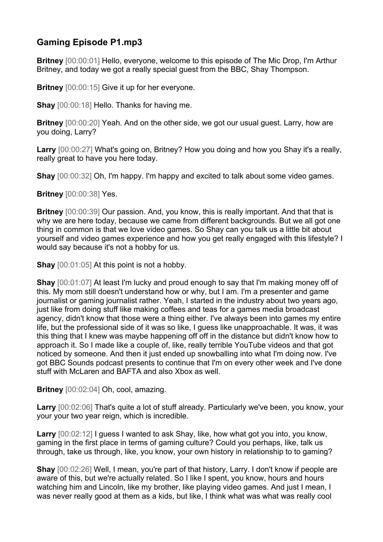## **Gaming Episode P1.mp3**

**Britney** [00:00:01] Hello, everyone, welcome to this episode of The Mic Drop, I'm Arthur Britney, and today we got a really special guest from the BBC, Shay Thompson.

**Britney** [00:00:15] Give it up for her everyone.

**Shay** [00:00:18] Hello. Thanks for having me.

**Britney** [00:00:20] Yeah. And on the other side, we got our usual guest. Larry, how are you doing, Larry?

**Larry** [00:00:27] What's going on, Britney? How you doing and how you Shay it's a really, really great to have you here today.

**Shay** [00:00:32] Oh, I'm happy. I'm happy and excited to talk about some video games.

**Britney** [00:00:38] Yes.

**Britney** [00:00:39] Our passion. And, you know, this is really important. And that that is why we are here today, because we came from different backgrounds. But we all got one thing in common is that we love video games. So Shay can you talk us a little bit about yourself and video games experience and how you get really engaged with this lifestyle? I would say because it's not a hobby for us.

**Shay** [00:01:05] At this point is not a hobby.

**Shay** [00:01:07] At least I'm lucky and proud enough to say that I'm making money off of this. My mom still doesn't understand how or why, but I am. I'm a presenter and game journalist or gaming journalist rather. Yeah, I started in the industry about two years ago, just like from doing stuff like making coffees and teas for a games media broadcast agency, didn't know that those were a thing either. I've always been into games my entire life, but the professional side of it was so like, I guess like unapproachable. It was, it was this thing that I knew was maybe happening off off in the distance but didn't know how to approach it. So I made like a couple of, like, really terrible YouTube videos and that got noticed by someone. And then it just ended up snowballing into what I'm doing now. I've got BBC Sounds podcast presents to continue that I'm on every other week and I've done stuff with McLaren and BAFTA and also Xbox as well.

**Britney** [00:02:04] Oh, cool, amazing.

**Larry** [00:02:06] That's quite a lot of stuff already. Particularly we've been, you know, your your your two year reign, which is incredible.

**Larry** [00:02:12] I guess I wanted to ask Shay, like, how what got you into, you know, gaming in the first place in terms of gaming culture? Could you perhaps, like, talk us through, take us through, like, you know, your own history in relationship to to gaming?

**Shay** [00:02:26] Well, I mean, you're part of that history, Larry. I don't know if people are aware of this, but we're actually related. So I like I spent, you know, hours and hours watching him and Lincoln, like my brother, like playing video games. And just I mean, I was never really good at them as a kids, but like, I think what was what was really cool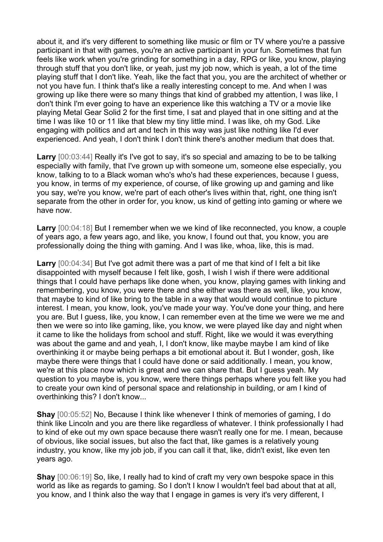about it, and it's very different to something like music or film or TV where you're a passive participant in that with games, you're an active participant in your fun. Sometimes that fun feels like work when you're grinding for something in a day, RPG or like, you know, playing through stuff that you don't like, or yeah, just my job now, which is yeah, a lot of the time playing stuff that I don't like. Yeah, like the fact that you, you are the architect of whether or not you have fun. I think that's like a really interesting concept to me. And when I was growing up like there were so many things that kind of grabbed my attention, I was like, I don't think I'm ever going to have an experience like this watching a TV or a movie like playing Metal Gear Solid 2 for the first time, I sat and played that in one sitting and at the time I was like 10 or 11 like that blew my tiny little mind. I was like, oh my God. Like engaging with politics and art and tech in this way was just like nothing like I'd ever experienced. And yeah, I don't think I don't think there's another medium that does that.

**Larry** [00:03:44] Really it's I've got to say, it's so special and amazing to be to be talking especially with family, that I've grown up with someone um, someone else especially, you know, talking to to a Black woman who's who's had these experiences, because I guess, you know, in terms of my experience, of course, of like growing up and gaming and like you say, we're you know, we're part of each other's lives within that, right, one thing isn't separate from the other in order for, you know, us kind of getting into gaming or where we have now.

**Larry** [00:04:18] But I remember when we we kind of like reconnected, you know, a couple of years ago, a few years ago, and like, you know, I found out that, you know, you are professionally doing the thing with gaming. And I was like, whoa, like, this is mad.

**Larry** [00:04:34] But I've got admit there was a part of me that kind of I felt a bit like disappointed with myself because I felt like, gosh, I wish I wish if there were additional things that I could have perhaps like done when, you know, playing games with linking and remembering, you know, you were there and she either was there as well, like, you know, that maybe to kind of like bring to the table in a way that would would continue to picture interest. I mean, you know, look, you've made your way. You've done your thing, and here you are. But I guess, like, you know, I can remember even at the time we were we me and then we were so into like gaming, like, you know, we were played like day and night when it came to like the holidays from school and stuff. Right, like we would it was everything was about the game and and yeah, I, I don't know, like maybe maybe I am kind of like overthinking it or maybe being perhaps a bit emotional about it. But I wonder, gosh, like maybe there were things that I could have done or said additionally. I mean, you know, we're at this place now which is great and we can share that. But I guess yeah. My question to you maybe is, you know, were there things perhaps where you felt like you had to create your own kind of personal space and relationship in building, or am I kind of overthinking this? I don't know...

**Shay** [00:05:52] No, Because I think like whenever I think of memories of gaming, I do think like Lincoln and you are there like regardless of whatever. I think professionally I had to kind of eke out my own space because there wasn't really one for me. I mean, because of obvious, like social issues, but also the fact that, like games is a relatively young industry, you know, like my job job, if you can call it that, like, didn't exist, like even ten years ago.

**Shay** [00:06:19] So, like, I really had to kind of craft my very own bespoke space in this world as like as regards to gaming. So I don't I know I wouldn't feel bad about that at all, you know, and I think also the way that I engage in games is very it's very different, I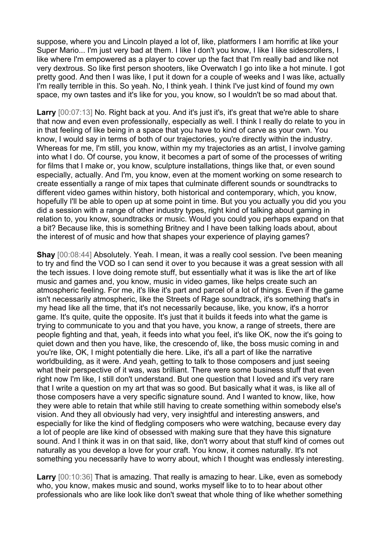suppose, where you and Lincoln played a lot of, like, platformers I am horrific at like your Super Mario... I'm just very bad at them. I like I don't you know. I like I like sidescrollers, I like where I'm empowered as a player to cover up the fact that I'm really bad and like not very dextrous. So like first person shooters, like Overwatch I go into like a hot minute. I got pretty good. And then I was like, I put it down for a couple of weeks and I was like, actually I'm really terrible in this. So yeah. No, I think yeah. I think I've just kind of found my own space, my own tastes and it's like for you, you know, so I wouldn't be so mad about that.

Larry  $[00:07:13]$  No. Right back at you. And it's just it's, it's great that we're able to share that now and even even professionally, especially as well. I think I really do relate to you in in that feeling of like being in a space that you have to kind of carve as your own. You know, I would say in terms of both of our trajectories, you're directly within the industry. Whereas for me, I'm still, you know, within my my trajectories as an artist, I involve gaming into what I do. Of course, you know, it becomes a part of some of the processes of writing for films that I make or, you know, sculpture installations, things like that, or even sound especially, actually. And I'm, you know, even at the moment working on some research to create essentially a range of mix tapes that culminate different sounds or soundtracks to different video games within history, both historical and contemporary, which, you know, hopefully I'll be able to open up at some point in time. But you you actually you did you you did a session with a range of other industry types, right kind of talking about gaming in relation to, you know, soundtracks or music. Would you could you perhaps expand on that a bit? Because like, this is something Britney and I have been talking loads about, about the interest of of music and how that shapes your experience of playing games?

**Shay** [00:08:44] Absolutely. Yeah. I mean, it was a really cool session. I've been meaning to try and find the VOD so I can send it over to you because it was a great session with all the tech issues. I love doing remote stuff, but essentially what it was is like the art of like music and games and, you know, music in video games, like helps create such an atmospheric feeling. For me, it's like it's part and parcel of a lot of things. Even if the game isn't necessarily atmospheric, like the Streets of Rage soundtrack, it's something that's in my head like all the time, that it's not necessarily because, like, you know, it's a horror game. It's quite, quite the opposite. It's just that it builds it feeds into what the game is trying to communicate to you and that you have, you know, a range of streets, there are people fighting and that, yeah, it feeds into what you feel, it's like OK, now the it's going to quiet down and then you have, like, the crescendo of, like, the boss music coming in and you're like, OK, I might potentially die here. Like, it's all a part of like the narrative worldbuilding, as it were. And yeah, getting to talk to those composers and just seeing what their perspective of it was, was brilliant. There were some business stuff that even right now I'm like, I still don't understand. But one question that I loved and it's very rare that I write a question on my art that was so good. But basically what it was, is like all of those composers have a very specific signature sound. And I wanted to know, like, how they were able to retain that while still having to create something within somebody else's vision. And they all obviously had very, very insightful and interesting answers, and especially for like the kind of fledgling composers who were watching, because every day a lot of people are like kind of obsessed with making sure that they have this signature sound. And I think it was in on that said, like, don't worry about that stuff kind of comes out naturally as you develop a love for your craft. You know, it comes naturally. It's not something you necessarily have to worry about, which I thought was endlessly interesting.

**Larry** [00:10:36] That is amazing. That really is amazing to hear. Like, even as somebody who, you know, makes music and sound, works myself like to to to hear about other professionals who are like look like don't sweat that whole thing of like whether something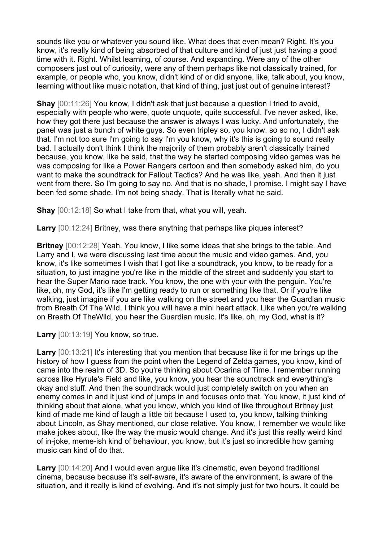sounds like you or whatever you sound like. What does that even mean? Right. It's you know, it's really kind of being absorbed of that culture and kind of just just having a good time with it. Right. Whilst learning, of course. And expanding. Were any of the other composers just out of curiosity, were any of them perhaps like not classically trained, for example, or people who, you know, didn't kind of or did anyone, like, talk about, you know, learning without like music notation, that kind of thing, just just out of genuine interest?

**Shay** [00:11:26] You know, I didn't ask that just because a question I tried to avoid, especially with people who were, quote unquote, quite successful. I've never asked, like, how they got there just because the answer is always I was lucky. And unfortunately, the panel was just a bunch of white guys. So even tripley so, you know, so so no, I didn't ask that. I'm not too sure I'm going to say I'm you know, why it's this is going to sound really bad. I actually don't think I think the majority of them probably aren't classically trained because, you know, like he said, that the way he started composing video games was he was composing for like a Power Rangers cartoon and then somebody asked him, do you want to make the soundtrack for Fallout Tactics? And he was like, yeah. And then it just went from there. So I'm going to say no. And that is no shade, I promise. I might say I have been fed some shade. I'm not being shady. That is literally what he said.

**Shay** [00:12:18] So what I take from that, what you will, yeah.

**Larry** [00:12:24] Britney, was there anything that perhaps like piques interest?

**Britney** [00:12:28] Yeah. You know, I like some ideas that she brings to the table. And Larry and I, we were discussing last time about the music and video games. And, you know, it's like sometimes I wish that I got like a soundtrack, you know, to be ready for a situation, to just imagine you're like in the middle of the street and suddenly you start to hear the Super Mario race track. You know, the one with your with the penguin. You're like, oh, my God, it's like I'm getting ready to run or something like that. Or if you're like walking, just imagine if you are like walking on the street and you hear the Guardian music from Breath Of The Wild, I think you will have a mini heart attack. Like when you're walking on Breath Of TheWild, you hear the Guardian music. It's like, oh, my God, what is it?

**Larry** [00:13:19] You know, so true.

**Larry** [00:13:21] It's interesting that you mention that because like it for me brings up the history of how I guess from the point when the Legend of Zelda games, you know, kind of came into the realm of 3D. So you're thinking about Ocarina of Time. I remember running across like Hyrule's Field and like, you know, you hear the soundtrack and everything's okay and stuff. And then the soundtrack would just completely switch on you when an enemy comes in and it just kind of jumps in and focuses onto that. You know, it just kind of thinking about that alone, what you know, which you kind of like throughout Britney just kind of made me kind of laugh a little bit because I used to, you know, talking thinking about Lincoln, as Shay mentioned, our close relative. You know, I remember we would like make jokes about, like the way the music would change. And it's just this really weird kind of in-joke, meme-ish kind of behaviour, you know, but it's just so incredible how gaming music can kind of do that.

Larry  $[00:14:20]$  And I would even argue like it's cinematic, even beyond traditional cinema, because because it's self-aware, it's aware of the environment, is aware of the situation, and it really is kind of evolving. And it's not simply just for two hours. It could be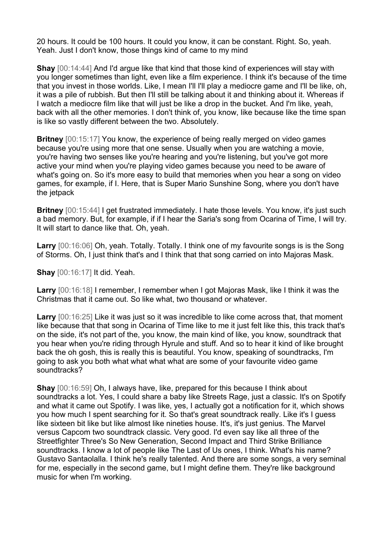20 hours. It could be 100 hours. It could you know, it can be constant. Right. So, yeah. Yeah. Just I don't know, those things kind of came to my mind

**Shay**  $[00:14:44]$  And I'd argue like that kind that those kind of experiences will stay with you longer sometimes than light, even like a film experience. I think it's because of the time that you invest in those worlds. Like, I mean I'll I'll play a mediocre game and I'll be like, oh, it was a pile of rubbish. But then I'll still be talking about it and thinking about it. Whereas if I watch a mediocre film like that will just be like a drop in the bucket. And I'm like, yeah, back with all the other memories. I don't think of, you know, like because like the time span is like so vastly different between the two. Absolutely.

**Britney** [00:15:17] You know, the experience of being really merged on video games because you're using more that one sense. Usually when you are watching a movie, you're having two senses like you're hearing and you're listening, but you've got more active your mind when you're playing video games because you need to be aware of what's going on. So it's more easy to build that memories when you hear a song on video games, for example, if I. Here, that is Super Mario Sunshine Song, where you don't have the jetpack

**Britney** [00:15:44] I get frustrated immediately. I hate those levels. You know, it's just such a bad memory. But, for example, if if I hear the Saria's song from Ocarina of Time, I will try. It will start to dance like that. Oh, yeah.

**Larry** [00:16:06] Oh, yeah. Totally. Totally. I think one of my favourite songs is is the Song of Storms. Oh, I just think that's and I think that that song carried on into Majoras Mask.

**Shay** [00:16:17] It did. Yeah.

**Larry** [00:16:18] I remember, I remember when I got Majoras Mask, like I think it was the Christmas that it came out. So like what, two thousand or whatever.

**Larry** [00:16:25] Like it was just so it was incredible to like come across that, that moment like because that that song in Ocarina of Time like to me it just felt like this, this track that's on the side, it's not part of the, you know, the main kind of like, you know, soundtrack that you hear when you're riding through Hyrule and stuff. And so to hear it kind of like brought back the oh gosh, this is really this is beautiful. You know, speaking of soundtracks, I'm going to ask you both what what what what are some of your favourite video game soundtracks?

**Shay** [00:16:59] Oh, I always have, like, prepared for this because I think about soundtracks a lot. Yes, I could share a baby like Streets Rage, just a classic. It's on Spotify and what it came out Spotify. I was like, yes, I actually got a notification for it, which shows you how much I spent searching for it. So that's great soundtrack really. Like it's I guess like sixteen bit like but like almost like nineties house. It's, it's just genius. The Marvel versus Capcom two soundtrack classic. Very good. I'd even say like all three of the Streetfighter Three's So New Generation, Second Impact and Third Strike Brilliance soundtracks. I know a lot of people like The Last of Us ones, I think. What's his name? Gustavo Santaolalla. I think he's really talented. And there are some songs, a very seminal for me, especially in the second game, but I might define them. They're like background music for when I'm working.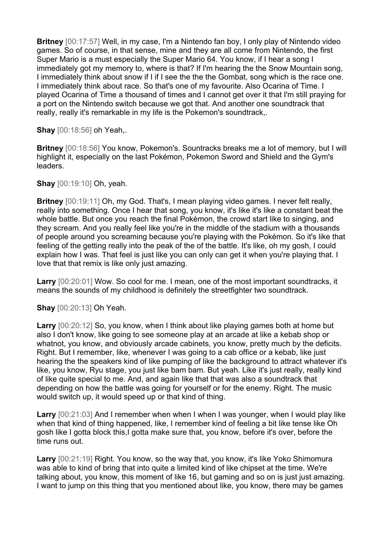**Britney** [00:17:57] Well, in my case, I'm a Nintendo fan boy, I only play of Nintendo video games. So of course, in that sense, mine and they are all come from Nintendo, the first Super Mario is a must especially the Super Mario 64. You know, if I hear a song I immediately got my memory to, where is that? If I'm hearing the the Snow Mountain song, I immediately think about snow if I if I see the the the Gombat, song which is the race one. I immediately think about race. So that's one of my favourite. Also Ocarina of Time. I played Ocarina of Time a thousand of times and I cannot get over it that I'm still praying for a port on the Nintendo switch because we got that. And another one soundtrack that really, really it's remarkable in my life is the Pokemon's soundtrack,.

**Shay** [00:18:56] oh Yeah,.

**Britney** [00:18:56] You know, Pokemon's. Sountracks breaks me a lot of memory, but I will highlight it, especially on the last Pokémon, Pokemon Sword and Shield and the Gym's leaders.

**Shay** [00:19:10] Oh, yeah.

**Britney** [00:19:11] Oh, my God. That's, I mean playing video games. I never felt really, really into something. Once I hear that song, you know, it's like it's like a constant beat the whole battle. But once you reach the final Pokémon, the crowd start like to singing, and they scream. And you really feel like you're in the middle of the stadium with a thousands of people around you screaming because you're playing with the Pokémon. So it's like that feeling of the getting really into the peak of the of the battle. It's like, oh my gosh, I could explain how I was. That feel is just like you can only can get it when you're playing that. I love that that remix is like only just amazing.

**Larry** [00:20:01] Wow. So cool for me. I mean, one of the most important soundtracks, it means the sounds of my childhood is definitely the streetfighter two soundtrack.

**Shay** [00:20:13] Oh Yeah.

**Larry** [00:20:12] So, you know, when I think about like playing games both at home but also I don't know, like going to see someone play at an arcade at like a kebab shop or whatnot, you know, and obviously arcade cabinets, you know, pretty much by the deficits. Right. But I remember, like, whenever I was going to a cab office or a kebab, like just hearing the the speakers kind of like pumping of like the background to attract whatever it's like, you know, Ryu stage, you just like bam bam. But yeah. Like it's just really, really kind of like quite special to me. And, and again like that that was also a soundtrack that depending on how the battle was going for yourself or for the enemy. Right. The music would switch up, it would speed up or that kind of thing.

Larry  $[00:21:03]$  And I remember when when I when I was younger, when I would play like when that kind of thing happened, like, I remember kind of feeling a bit like tense like Oh gosh like I gotta block this,I gotta make sure that, you know, before it's over, before the time runs out.

**Larry** [00:21:19] Right. You know, so the way that, you know, it's like Yoko Shimomura was able to kind of bring that into quite a limited kind of like chipset at the time. We're talking about, you know, this moment of like 16, but gaming and so on is just just amazing. I want to jump on this thing that you mentioned about like, you know, there may be games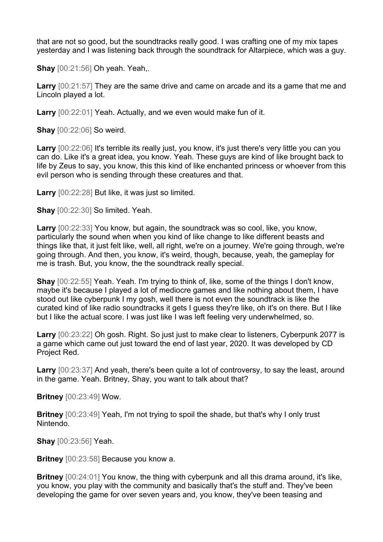that are not so good, but the soundtracks really good. I was crafting one of my mix tapes yesterday and I was listening back through the soundtrack for Altarpiece, which was a guy.

**Shay** [00:21:56] Oh yeah. Yeah,.

**Larry** [00:21:57] They are the same drive and came on arcade and its a game that me and Lincoln played a lot.

**Larry** [00:22:01] Yeah. Actually, and we even would make fun of it.

**Shay** [00:22:06] So weird.

**Larry** [00:22:06] It's terrible its really just, you know, it's just there's very little you can you can do. Like it's a great idea, you know. Yeah. These guys are kind of like brought back to life by Zeus to say, you know, this this kind of like enchanted princess or whoever from this evil person who is sending through these creatures and that.

**Larry** [00:22:28] But like, it was just so limited.

**Shay** [00:22:30] So limited. Yeah.

**Larry** [00:22:33] You know, but again, the soundtrack was so cool, like, you know, particularly the sound when when you kind of like change to like different beasts and things like that, it just felt like, well, all right, we're on a journey. We're going through, we're going through. And then, you know, it's weird, though, because, yeah, the gameplay for me is trash. But, you know, the the soundtrack really special.

**Shay** [00:22:55] Yeah. Yeah. I'm trying to think of, like, some of the things I don't know, maybe it's because I played a lot of mediocre games and like nothing about them, I have stood out like cyberpunk I my gosh, well there is not even the soundtrack is like the curated kind of like radio soundtracks it gets I guess they're like, oh it's on there. But I like but I like the actual score. I was just like I was left feeling very underwhelmed, so.

**Larry** [00:23:22] Oh gosh. Right. So just just to make clear to listeners, Cyberpunk 2077 is a game which came out just toward the end of last year, 2020. It was developed by CD Project Red.

**Larry** [00:23:37] And yeah, there's been quite a lot of controversy, to say the least, around in the game. Yeah. Britney, Shay, you want to talk about that?

**Britney** [00:23:49] Wow.

**Britney** [00:23:49] Yeah, I'm not trying to spoil the shade, but that's why I only trust Nintendo.

**Shay** [00:23:56] Yeah.

**Britney** [00:23:58] Because you know a.

**Britney** [00:24:01] You know, the thing with cyberpunk and all this drama around, it's like, you know, you play with the community and basically that's the stuff and. They've been developing the game for over seven years and, you know, they've been teasing and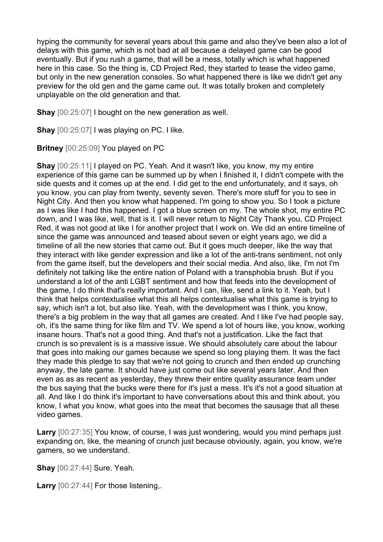hyping the community for several years about this game and also they've been also a lot of delays with this game, which is not bad at all because a delayed game can be good eventually. But if you rush a game, that will be a mess, totally which is what happened here in this case. So the thing is, CD Project Red, they started to tease the video game, but only in the new generation consoles. So what happened there is like we didn't get any preview for the old gen and the game came out. It was totally broken and completely unplayable on the old generation and that.

**Shay** [00:25:07] I bought on the new generation as well.

**Shay** [00:25:07] I was playing on PC. I like.

**Britney** [00:25:09] You played on PC

**Shay** [00:25:11] I played on PC. Yeah. And it wasn't like, you know, my my entire experience of this game can be summed up by when I finished it, I didn't compete with the side quests and it comes up at the end. I did get to the end unfortunately, and it says, oh you know, you can play from twenty, seventy seven. There's more stuff for you to see in Night City. And then you know what happened. I'm going to show you. So I took a picture as I was like I had this happened. I got a blue screen on my. The whole shot, my entire PC down, and I was like, well, that is it. I will never return to Night City Thank you, CD Project Red, it was not good at like I for another project that I work on. We did an entire timeline of since the game was announced and teased about seven or eight years ago, we did a timeline of all the new stories that came out. But it goes much deeper, like the way that they interact with like gender expression and like a lot of the anti-trans sentiment, not only from the game itself, but the developers and their social media. And also, like, I'm not I'm definitely not talking like the entire nation of Poland with a transphobia brush. But if you understand a lot of the anti LGBT sentiment and how that feeds into the development of the game, I do think that's really important. And I can, like, send a link to it. Yeah, but I think that helps contextualise what this all helps contextualise what this game is trying to say, which isn't a lot, but also like. Yeah, with the development was I think, you know, there's a big problem in the way that all games are created. And I like I've had people say, oh, it's the same thing for like film and TV. We spend a lot of hours like, you know, working insane hours. That's not a good thing. And that's not a justification. Like the fact that crunch is so prevalent is is a massive issue. We should absolutely care about the labour that goes into making our games because we spend so long playing them. It was the fact they made this pledge to say that we're not going to crunch and then ended up crunching anyway, the late game. It should have just come out like several years later. And then even as as as recent as yesterday, they threw their entire quality assurance team under the bus saying that the bucks were there for it's just a mess. It's it's not a good situation at all. And like I do think it's important to have conversations about this and think about, you know, I what you know, what goes into the meat that becomes the sausage that all these video games.

**Larry** [00:27:35] You know, of course, I was just wondering, would you mind perhaps just expanding on, like, the meaning of crunch just because obviously, again, you know, we're gamers, so we understand.

**Shay** [00:27:44] Sure. Yeah.

**Larry** [00:27:44] For those listening,.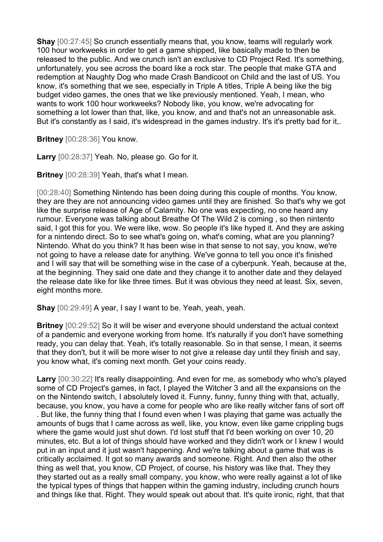**Shay** [00:27:45] So crunch essentially means that, you know, teams will regularly work 100 hour workweeks in order to get a game shipped, like basically made to then be released to the public. And we crunch isn't an exclusive to CD Project Red. It's something, unfortunately, you see across the board like a rock star. The people that make GTA and redemption at Naughty Dog who made Crash Bandicoot on Child and the last of US. You know, it's something that we see, especially in Triple A titles, Triple A being like the big budget video games, the ones that we like previously mentioned. Yeah, I mean, who wants to work 100 hour workweeks? Nobody like, you know, we're advocating for something a lot lower than that, like, you know, and and that's not an unreasonable ask. But it's constantly as I said, it's widespread in the games industry. It's it's pretty bad for it,.

**Britney** [00:28:36] You know.

**Larry** [00:28:37] Yeah. No, please go. Go for it.

**Britney** [00:28:39] Yeah, that's what I mean.

[00:28:40] Something Nintendo has been doing during this couple of months. You know, they are they are not announcing video games until they are finished. So that's why we got like the surprise release of Age of Calamity. No one was expecting, no one heard any rumour. Everyone was talking about Breathe Of The Wild 2 is coming , so then nintento said, I got this for you. We were like, wow. So people it's like hyped it. And they are asking for a nintendo direct. So to see what's going on, what's coming, what are you planning? Nintendo. What do you think? It has been wise in that sense to not say, you know, we're not going to have a release date for anything. We've gonna to tell you once it's finished and I will say that will be something wise in the case of a cyberpunk. Yeah, because at the, at the beginning. They said one date and they change it to another date and they delayed the release date like for like three times. But it was obvious they need at least. Six, seven, eight months more.

**Shay** [00:29:49] A year, I say I want to be. Yeah, yeah, yeah.

**Britney** [00:29:52] So it will be wiser and everyone should understand the actual context of a pandemic and everyone working from home. It's naturally if you don't have something ready, you can delay that. Yeah, it's totally reasonable. So in that sense, I mean, it seems that they don't, but it will be more wiser to not give a release day until they finish and say, you know what, it's coming next month. Get your coins ready.

**Larry** [00:30:22] It's really disappointing. And even for me, as somebody who who's played some of CD Project's games, in fact, I played the Witcher 3 and all the expansions on the on the Nintendo switch, I absolutely loved it. Funny, funny, funny thing with that, actually, because, you know, you have a come for people who are like really witcher fans of sort off . But like, the funny thing that I found even when I was playing that game was actually the amounts of bugs that I came across as well, like, you know, even like game crippling bugs where the game would just shut down. I'd lost stuff that I'd been working on over 10, 20 minutes, etc. But a lot of things should have worked and they didn't work or I knew I would put in an input and it just wasn't happening. And we're talking about a game that was is critically acclaimed. It got so many awards and someone. Right. And then also the other thing as well that, you know, CD Project, of course, his history was like that. They they they started out as a really small company, you know, who were really against a lot of like the typical types of things that happen within the gaming industry, including crunch hours and things like that. Right. They would speak out about that. It's quite ironic, right, that that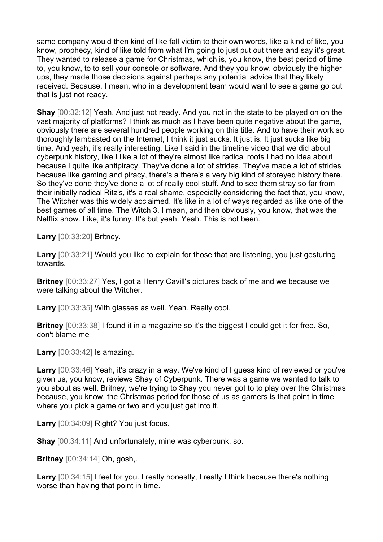same company would then kind of like fall victim to their own words, like a kind of like, you know, prophecy, kind of like told from what I'm going to just put out there and say it's great. They wanted to release a game for Christmas, which is, you know, the best period of time to, you know, to to sell your console or software. And they you know, obviously the higher ups, they made those decisions against perhaps any potential advice that they likely received. Because, I mean, who in a development team would want to see a game go out that is just not ready.

**Shay** [00:32:12] Yeah. And just not ready. And you not in the state to be played on on the vast majority of platforms? I think as much as I have been quite negative about the game, obviously there are several hundred people working on this title. And to have their work so thoroughly lambasted on the Internet, I think it just sucks. It just is. It just sucks like big time. And yeah, it's really interesting. Like I said in the timeline video that we did about cyberpunk history, like I like a lot of they're almost like radical roots I had no idea about because I quite like antipiracy. They've done a lot of strides. They've made a lot of strides because like gaming and piracy, there's a there's a very big kind of storeyed history there. So they've done they've done a lot of really cool stuff. And to see them stray so far from their initially radical Ritz's, it's a real shame, especially considering the fact that, you know, The Witcher was this widely acclaimed. It's like in a lot of ways regarded as like one of the best games of all time. The Witch 3. I mean, and then obviously, you know, that was the Netflix show. Like, it's funny. It's but yeah. Yeah. This is not been.

**Larry** [00:33:20] Britney.

**Larry** [00:33:21] Would you like to explain for those that are listening, you just gesturing towards.

**Britney** [00:33:27] Yes, I got a Henry Cavill's pictures back of me and we because we were talking about the Witcher.

**Larry** [00:33:35] With glasses as well. Yeah. Really cool.

**Britney** [00:33:38] I found it in a magazine so it's the biggest I could get it for free. So, don't blame me

**Larry** [00:33:42] Is amazing.

**Larry** [00:33:46] Yeah, it's crazy in a way. We've kind of I guess kind of reviewed or you've given us, you know, reviews Shay of Cyberpunk. There was a game we wanted to talk to you about as well. Britney, we're trying to Shay you never got to to play over the Christmas because, you know, the Christmas period for those of us as gamers is that point in time where you pick a game or two and you just get into it.

**Larry** [00:34:09] Right? You just focus.

**Shay** [00:34:11] And unfortunately, mine was cyberpunk, so.

**Britney** [00:34:14] Oh, gosh,.

Larry  $[00:34:15]$  I feel for you. I really honestly, I really I think because there's nothing worse than having that point in time.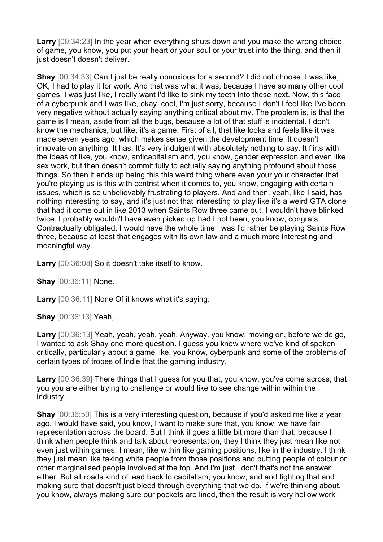**Larry** [00:34:23] In the year when everything shuts down and you make the wrong choice of game, you know, you put your heart or your soul or your trust into the thing, and then it just doesn't doesn't deliver.

**Shay** [00:34:33] Can I just be really obnoxious for a second? I did not choose. I was like, OK, I had to play it for work. And that was what it was, because I have so many other cool games. I was just like, I really want I'd like to sink my teeth into these next. Now, this face of a cyberpunk and I was like, okay, cool, I'm just sorry, because I don't I feel like I've been very negative without actually saying anything critical about my. The problem is, is that the game is I mean, aside from all the bugs, because a lot of that stuff is incidental. I don't know the mechanics, but like, it's a game. First of all, that like looks and feels like it was made seven years ago, which makes sense given the development time. It doesn't innovate on anything. It has. It's very indulgent with absolutely nothing to say. It flirts with the ideas of like, you know, anticapitalism and, you know, gender expression and even like sex work, but then doesn't commit fully to actually saying anything profound about those things. So then it ends up being this this weird thing where even your your character that you're playing us is this with centrist when it comes to, you know, engaging with certain issues, which is so unbelievably frustrating to players. And and then, yeah, like I said, has nothing interesting to say, and it's just not that interesting to play like it's a weird GTA clone that had it come out in like 2013 when Saints Row three came out, I wouldn't have blinked twice. I probably wouldn't have even picked up had I not been, you know, congrats. Contractually obligated. I would have the whole time I was I'd rather be playing Saints Row three, because at least that engages with its own law and a much more interesting and meaningful way.

**Larry** [00:36:08] So it doesn't take itself to know.

**Shay** [00:36:11] None.

**Larry** [00:36:11] None Of it knows what it's saying.

**Shay** [00:36:13] Yeah,.

**Larry** [00:36:13] Yeah, yeah, yeah, yeah. Anyway, you know, moving on, before we do go, I wanted to ask Shay one more question. I guess you know where we've kind of spoken critically, particularly about a game like, you know, cyberpunk and some of the problems of certain types of tropes of Indie that the gaming industry.

**Larry** [00:36:39] There things that I guess for you that, you know, you've come across, that you you are either trying to challenge or would like to see change within within the industry.

**Shay** [00:36:50] This is a very interesting question, because if you'd asked me like a year ago, I would have said, you know, I want to make sure that, you know, we have fair representation across the board. But I think it goes a little bit more than that, because I think when people think and talk about representation, they I think they just mean like not even just within games. I mean, like within like gaming positions, like in the industry. I think they just mean like taking white people from those positions and putting people of colour or other marginalised people involved at the top. And I'm just I don't that's not the answer either. But all roads kind of lead back to capitalism, you know, and and fighting that and making sure that doesn't just bleed through everything that we do. If we're thinking about, you know, always making sure our pockets are lined, then the result is very hollow work